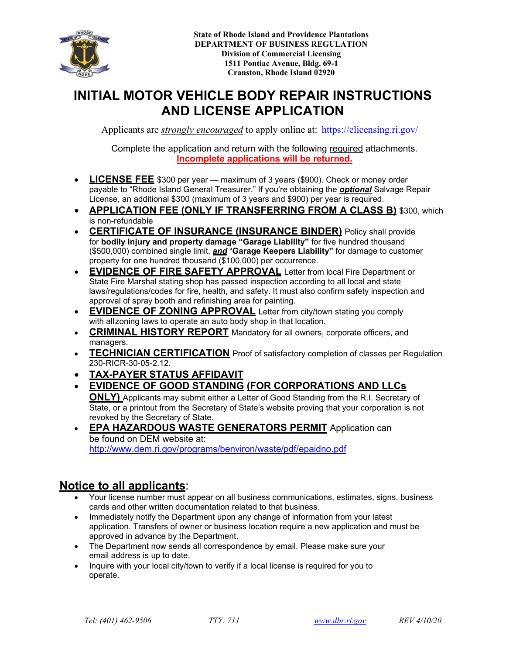

**State of Rhode Island Department of Business Regulation Division of Commercial Licensing Auto Body Section 1511 Pontiac Ave, Bldg. 69-1 Cranston, RI 02920**

# **INITIAL MOTOR VEHICLE BODY REPAIR INSTRUCTIONS AND LICENSE APPLICA[TION](https://elicensing.ri.gov/)**

Applicants are *strongly encouraged* to apply online at: https://elicensing.ri.gov/

Complete the application and return with the following required attachments. **Incomplete applications will be returned.**

- **LICENSE FEE** \$300 per year maximum of 3 years (\$900). Check or money order payable to "Rhode Island General Treasurer." If you're obtaining the *optional* Salvage Repair License, an additional \$300 (maximum of 3 years and \$900) per year is required.
- **CERTIFICATE OF INSURANCE (INSURANCE BINDER)** Policy shall provide for **bodily injury and property damage "Garage Liability"** for five hundred thousand (\$500,000) combined single limit, *and* "**Garage Keepers Liability"** for damage to customer property for one hundred thousand (\$100,000) per occurrence.
- **EVIDENCE OF FIRE SAFETY APPROVAL** Letter from local Fire Department or State Fire Marshal stating shop has passed inspection according to all local and state laws/regulations/ codes for fire, health, and safety. It must also confirm safety inspection and approval of spray booth and refinishing area for painting.
- **EVIDENCE OF ZONING APPROVAL** Letter from city/town stating you comply with all zoning laws to operate an auto body shop in that location.
- **CRIMINAL HISTORY REPORT** Mandatory for all owners, corporate officers, and managers
- **TECHNICIAN CERTIFICATION** Proof of satisfactory completion of classes per Regulation

230-RICR-30-05-2.12. **(Only I-CAR and ASE transcripts or P&L Certificates areacceptable proof.)**

- **TAX-PAYER STATUS AFFIDAVIT**
- **EVIDENCE OF GOOD STANDING (FOR CORPORATIONS AND LLCs ONLY)** Applicants may submit either a Letter of Good Standing from the R.I. Secretary of State, or a printout from the Secretary of State's website proving that your corporation is not revoked by the Secretary of State.
- **[EPA HAZARDOUS WASTE](http://www.dem.ri.gov/programs/benviron/waste/pdf/epaidno.pdf) GENERATORS PERMIT** Application can be found on DEM website at: http://www.dem.ri.gov/programs/benviron/waste/pdf/epaidno.pdf

## **Notice to all applicants**:

- Your license number must appear on all business communications, estimates, signs, business cards and other written documentation related to that business.
- Immediately notify the Department upon any change of information from your latest application. Transfers of owner or business location require a new application and must be approved in advance by the Department.
- The Department now sends all correspondence by email. Please make sure your email address is up to date.
- Inquire with your local city/town to verify if a local license is required for you to operate.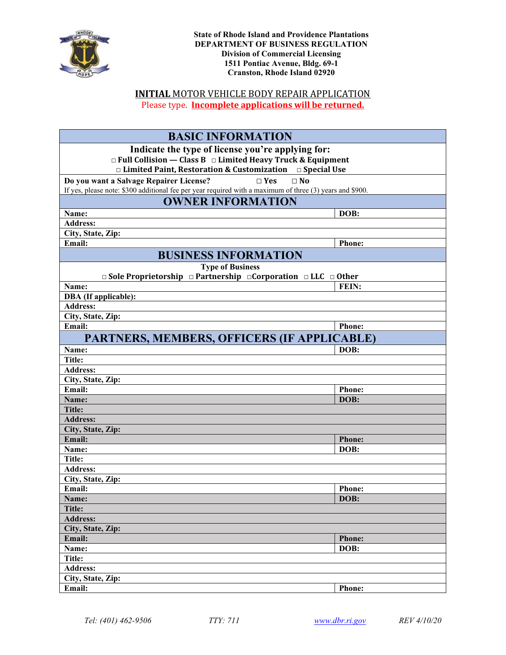

**State of Rhode Island Department of Business Regulation Division of Commercial Licensing Auto Body Section 1511 Pontiac Ave, Bldg. 69-1 Cranston, RI 02920**

## **INITIAL** MOTOR VEHICLE BODY REPAIR APPLICATION

Please type. **Incomplete applications will be returned.**

| <b>BASIC INFORMATION</b>                                                                                   |               |
|------------------------------------------------------------------------------------------------------------|---------------|
| Indicate the type of license you're applying for:                                                          |               |
| $\Box$ Full Collision — Class B $\Box$ Limited Heavy Truck & Equipment                                     |               |
| $\Box$ Limited Paint, Restoration & Customization $\Box$ Special Use                                       |               |
| $\Box$ No<br>Do you want a Salvage Repairer License?<br>$\Box$ Yes                                         |               |
| If yes, please note: \$300 additional fee per year required with a maximum of three $(3)$ years and \$900. |               |
| <b>OWNER INFORMATION</b>                                                                                   |               |
| Name:                                                                                                      | DOB:          |
| <b>Address:</b>                                                                                            |               |
| City, State, Zip:                                                                                          |               |
| Email:                                                                                                     | Phone:        |
| <b>BUSINESS INFORMATION</b>                                                                                |               |
| <b>Type of Business</b>                                                                                    |               |
| $\Box$ Sole Proprietorship $\Box$ Partnership $\Box$ Corporation $\Box$ LLC $\Box$ Other                   |               |
| Name:                                                                                                      | FEIN:         |
| <b>DBA</b> (If applicable):                                                                                |               |
| <b>Address:</b>                                                                                            |               |
| City, State, Zip:                                                                                          |               |
| Email:                                                                                                     | <b>Phone:</b> |
| PARTNERS, MEMBERS, OFFICERS (IF APPLICABLE)                                                                |               |
| Name:                                                                                                      | DOB:          |
| Title:                                                                                                     |               |
| <b>Address:</b>                                                                                            |               |
| City, State, Zip:                                                                                          |               |
| Email:                                                                                                     | Phone:        |
| Name:                                                                                                      | DOB:          |
| <b>Title:</b>                                                                                              |               |
| <b>Address:</b>                                                                                            |               |
| City, State, Zip:                                                                                          |               |
| Email:                                                                                                     | <b>Phone:</b> |
| Name:                                                                                                      | DOB:          |
| <b>Title:</b>                                                                                              |               |
| <b>Address:</b>                                                                                            |               |
| City, State, Zip:<br>Email:                                                                                |               |
|                                                                                                            | <b>Phone:</b> |
| Name:<br>Title:                                                                                            | DOB:          |
| <b>Address:</b>                                                                                            |               |
| City, State, Zip:                                                                                          |               |
| Email:                                                                                                     | <b>Phone:</b> |
| Name:                                                                                                      | DOB:          |
| <b>Title:</b>                                                                                              |               |
| <b>Address:</b>                                                                                            |               |
| City, State, Zip:                                                                                          |               |
| Email:                                                                                                     | Phone:        |
|                                                                                                            |               |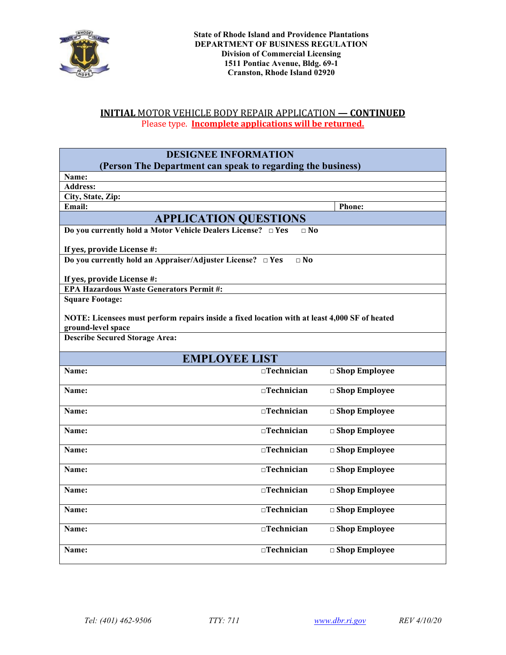

### **INITIAL** MOTOR VEHICLE BODY REPAIR APPLICATION **— CONTINUED** Please type. **Incomplete applications will be returned.**

| <b>DESIGNEE INFORMATION</b>                                                                   |                     |                         |  |  |
|-----------------------------------------------------------------------------------------------|---------------------|-------------------------|--|--|
| (Person The Department can speak to regarding the business)                                   |                     |                         |  |  |
| Name:                                                                                         |                     |                         |  |  |
| <b>Address:</b>                                                                               |                     |                         |  |  |
| City, State, Zip:<br>Email:                                                                   |                     | <b>Phone:</b>           |  |  |
|                                                                                               |                     |                         |  |  |
| <b>APPLICATION QUESTIONS</b>                                                                  |                     |                         |  |  |
| Do you currently hold a Motor Vehicle Dealers License? □ Yes                                  | $\Box$ No           |                         |  |  |
| If yes, provide License #:                                                                    |                     |                         |  |  |
| Do you currently hold an Appraiser/Adjuster License? $\Box$ Yes                               | $\Box$ No           |                         |  |  |
|                                                                                               |                     |                         |  |  |
| If yes, provide License #:<br><b>EPA Hazardous Waste Generators Permit#:</b>                  |                     |                         |  |  |
| <b>Square Footage:</b>                                                                        |                     |                         |  |  |
|                                                                                               |                     |                         |  |  |
| NOTE: Licensees must perform repairs inside a fixed location with at least 4,000 SF of heated |                     |                         |  |  |
| ground-level space                                                                            |                     |                         |  |  |
| <b>Describe Secured Storage Area:</b>                                                         |                     |                         |  |  |
|                                                                                               |                     |                         |  |  |
| <b>EMPLOYEE LIST</b>                                                                          |                     |                         |  |  |
| Name:                                                                                         | $\Box$ Technician   | □ Shop Employee         |  |  |
| Name:                                                                                         | $\Box$ Technician   | $\Box$ Shop Employee    |  |  |
|                                                                                               |                     |                         |  |  |
| Name:                                                                                         | $\Box$ Technician   | $\Box$ Shop Employee    |  |  |
| Name:                                                                                         | $\sqcap$ Technician | $\Box$ Shop Employee    |  |  |
|                                                                                               |                     |                         |  |  |
| Name:                                                                                         | $\Box$ Technician   | $\Box$ Shop Employee    |  |  |
|                                                                                               |                     |                         |  |  |
| Name:                                                                                         | $\Box$ Technician   | $\Box$ Shop Employee    |  |  |
|                                                                                               |                     |                         |  |  |
| Name:                                                                                         | $\Box$ Technician   | $\square$ Shop Employee |  |  |
|                                                                                               |                     |                         |  |  |
| Name:                                                                                         | $\Box$ Technician   | $\Box$ Shop Employee    |  |  |
|                                                                                               |                     |                         |  |  |
| Name:                                                                                         | $\Box$ Technician   | □ Shop Employee         |  |  |
|                                                                                               |                     |                         |  |  |
| Name:                                                                                         | $\Box$ Technician   | $\Box$ Shop Employee    |  |  |
|                                                                                               |                     |                         |  |  |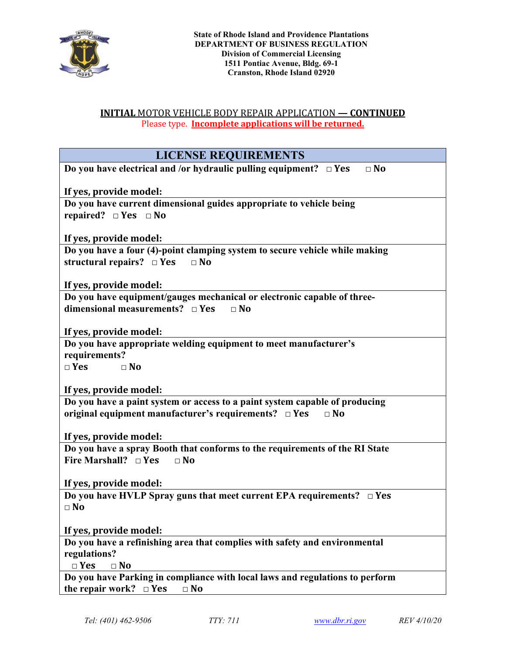

### **INITIAL** MOTOR VEHICLE BODY REPAIR APPLICATION **— CONTINUED** Please type. **Incomplete applications will be returned.**

| <b>LICENSE REQUIREMENTS</b>                                                                           |
|-------------------------------------------------------------------------------------------------------|
| Do you have electrical and /or hydraulic pulling equipment? $\Box$ Yes<br>$\square$ No                |
|                                                                                                       |
| If yes, provide model:                                                                                |
| Do you have current dimensional guides appropriate to vehicle being<br>repaired? $\Box$ Yes $\Box$ No |
|                                                                                                       |
| If yes, provide model:                                                                                |
| Do you have a four (4)-point clamping system to secure vehicle while making                           |
| structural repairs? $\Box$ Yes<br>$\Box$ No                                                           |
| If yes, provide model:                                                                                |
| Do you have equipment/gauges mechanical or electronic capable of three-                               |
| dimensional measurements? $\Box$ Yes<br>$\Box$ No                                                     |
|                                                                                                       |
| If yes, provide model:                                                                                |
| Do you have appropriate welding equipment to meet manufacturer's<br>requirements?                     |
| $\Box$ Yes<br>$\Box$ No                                                                               |
|                                                                                                       |
| If yes, provide model:                                                                                |
| Do you have a paint system or access to a paint system capable of producing                           |
| original equipment manufacturer's requirements? $\Box$ Yes<br>$\Box$ No                               |
| If yes, provide model:                                                                                |
| Do you have a spray Booth that conforms to the requirements of the RI State                           |
| Fire Marshall? $\Box$ Yes<br>$\Box$ No                                                                |
|                                                                                                       |
| If yes, provide model:<br>Do you have HVLP Spray guns that meet current EPA requirements? $\Box$ Yes  |
| $\square$ No                                                                                          |
|                                                                                                       |
| If yes, provide model:                                                                                |
| Do you have a refinishing area that complies with safety and environmental                            |
| regulations?<br>$\Box$ Yes<br>$\Box$ No                                                               |
| Do you have Parking in compliance with local laws and regulations to perform                          |
| the repair work? $\square$ Yes<br>$\Box$ No                                                           |